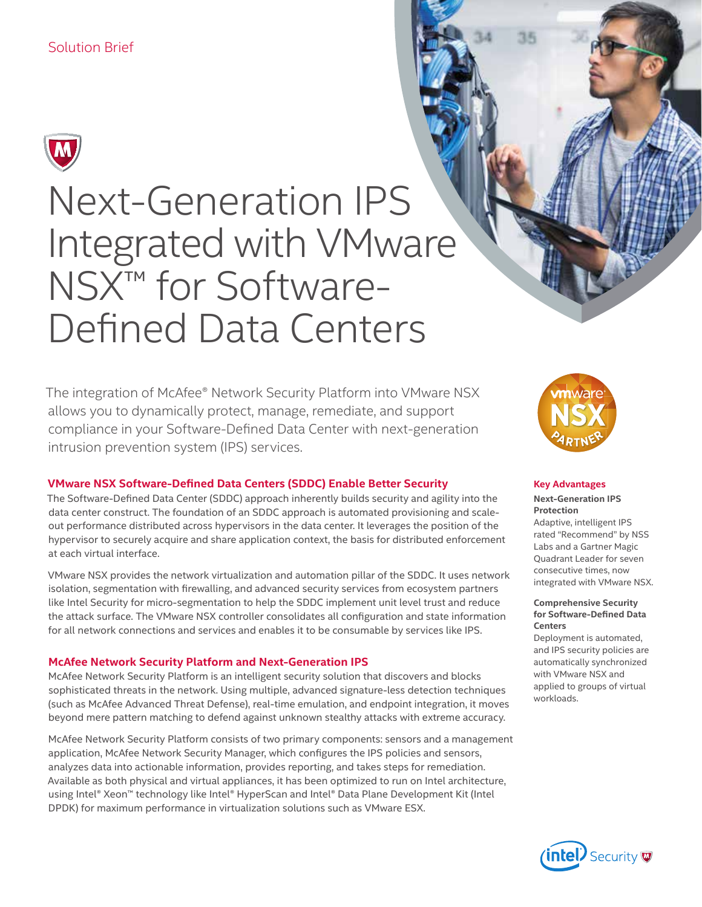

# Next-Generation IPS Integrated with VMware NSX<sup>™</sup> for Software-Defined Data Centers

The integration of McAfee® Network Security Platform into VMware NSX allows you to dynamically protect, manage, remediate, and support compliance in your Software-Defined Data Center with next-generation intrusion prevention system (IPS) services.

# **VMware NSX Software-Defined Data Centers (SDDC) Enable Better Security**

The Software-Defined Data Center (SDDC) approach inherently builds security and agility into the data center construct. The foundation of an SDDC approach is automated provisioning and scaleout performance distributed across hypervisors in the data center. It leverages the position of the hypervisor to securely acquire and share application context, the basis for distributed enforcement at each virtual interface.

VMware NSX provides the network virtualization and automation pillar of the SDDC. It uses network isolation, segmentation with firewalling, and advanced security services from ecosystem partners like Intel Security for micro-segmentation to help the SDDC implement unit level trust and reduce the attack surface. The VMware NSX controller consolidates all configuration and state information for all network connections and services and enables it to be consumable by services like IPS.

# **McAfee Network Security Platform and Next-Generation IPS**

McAfee Network Security Platform is an intelligent security solution that discovers and blocks sophisticated threats in the network. Using multiple, advanced signature-less detection techniques (such as McAfee Advanced Threat Defense), real-time emulation, and endpoint integration, it moves beyond mere pattern matching to defend against unknown stealthy attacks with extreme accuracy.

McAfee Network Security Platform consists of two primary components: sensors and a management application, McAfee Network Security Manager, which configures the IPS policies and sensors, analyzes data into actionable information, provides reporting, and takes steps for remediation. Available as both physical and virtual appliances, it has been optimized to run on Intel architecture, using Intel® Xeon™ technology like Intel® HyperScan and Intel® Data Plane Development Kit (Intel DPDK) for maximum performance in virtualization solutions such as VMware ESX.



#### **Key Advantages**

**Next-Generation IPS Protection**

Adaptive, intelligent IPS rated "Recommend" by NSS Labs and a Gartner Magic Quadrant Leader for seven consecutive times, now integrated with VMware NSX.

#### **Comprehensive Security for Software-Defined Data Centers**

Deployment is automated, and IPS security policies are automatically synchronized with VMware NSX and applied to groups of virtual workloads.

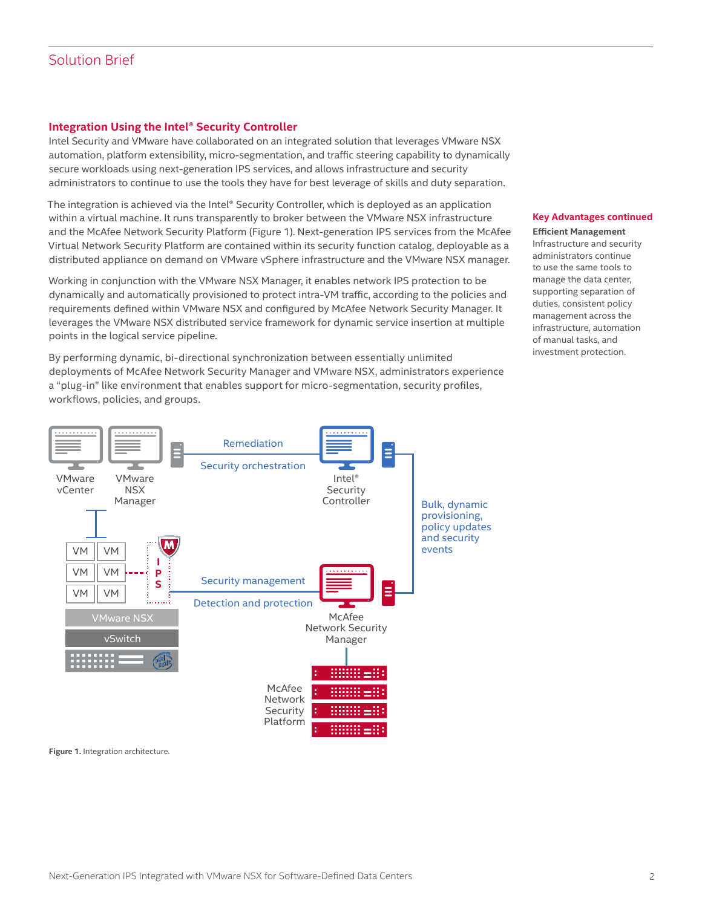# Solution Brief

# **Integration Using the Intel® Security Controller**

Intel Security and VMware have collaborated on an integrated solution that leverages VMware NSX automation, platform extensibility, micro-segmentation, and traffic steering capability to dynamically secure workloads using next-generation IPS services, and allows infrastructure and security administrators to continue to use the tools they have for best leverage of skills and duty separation.

The integration is achieved via the Intel® Security Controller, which is deployed as an application within a virtual machine. It runs transparently to broker between the VMware NSX infrastructure and the McAfee Network Security Platform (Figure 1). Next-generation IPS services from the McAfee Virtual Network Security Platform are contained within its security function catalog, deployable as a distributed appliance on demand on VMware vSphere infrastructure and the VMware NSX manager.

Working in conjunction with the VMware NSX Manager, it enables network IPS protection to be dynamically and automatically provisioned to protect intra-VM traffic, according to the policies and requirements defined within VMware NSX and configured by McAfee Network Security Manager. It leverages the VMware NSX distributed service framework for dynamic service insertion at multiple points in the logical service pipeline.

By performing dynamic, bi-directional synchronization between essentially unlimited deployments of McAfee Network Security Manager and VMware NSX, administrators experience a "plug-in" like environment that enables support for micro-segmentation, security profiles, workflows, policies, and groups.



#### **Key Advantages continued**

**Efficient Management** Infrastructure and security administrators continue to use the same tools to manage the data center, supporting separation of duties, consistent policy management across the infrastructure, automation of manual tasks, and investment protection.

**Figure 1.** Integration architecture.